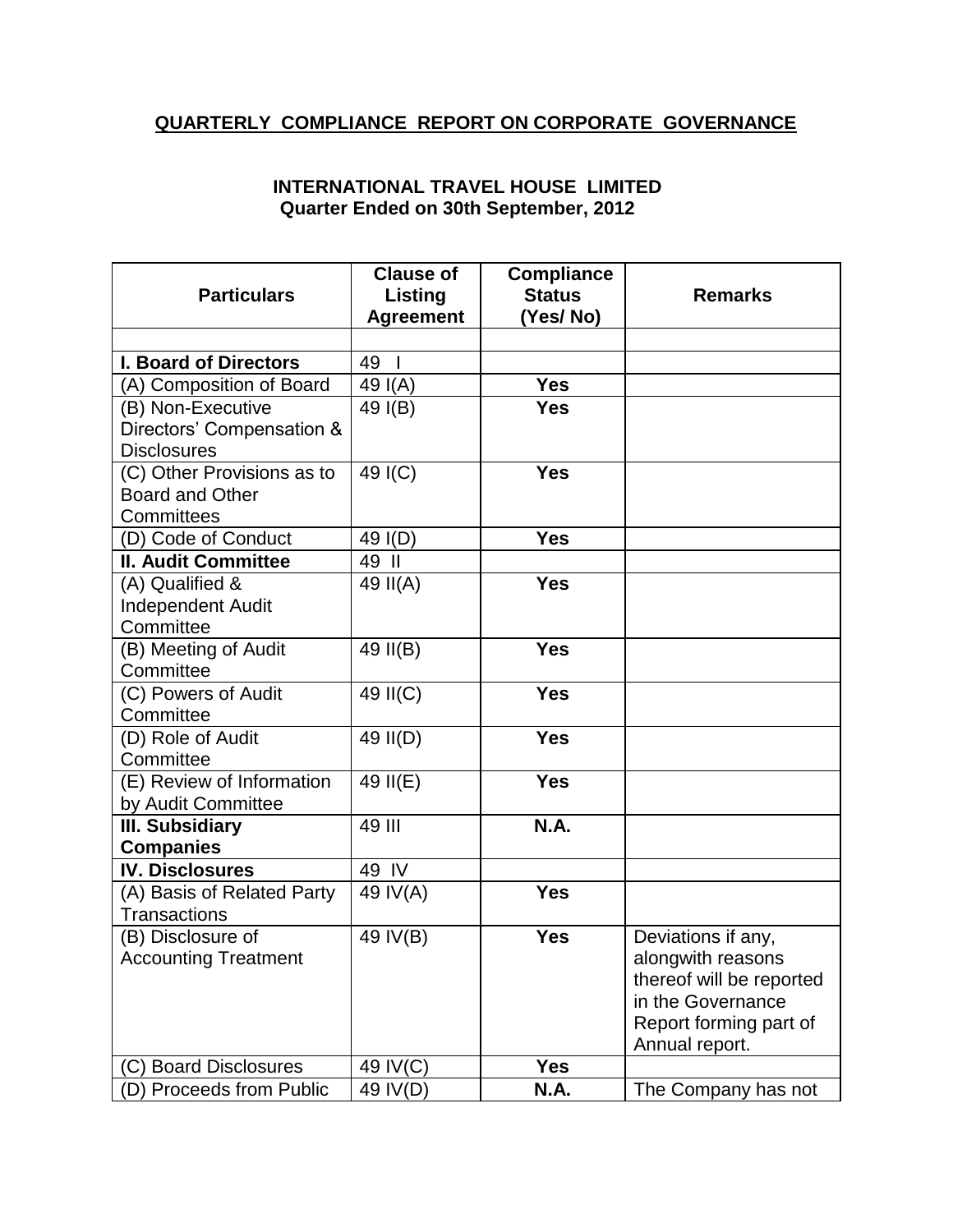## **QUARTERLY COMPLIANCE REPORT ON CORPORATE GOVERNANCE**

## **INTERNATIONAL TRAVEL HOUSE LIMITED Quarter Ended on 30th September, 2012**

|                              | <b>Clause of</b>   | <b>Compliance</b> |                          |
|------------------------------|--------------------|-------------------|--------------------------|
| <b>Particulars</b>           | Listing            | <b>Status</b>     | <b>Remarks</b>           |
|                              | <b>Agreement</b>   | (Yes/No)          |                          |
|                              |                    |                   |                          |
| <b>I. Board of Directors</b> | 49<br>$\mathbf{I}$ |                   |                          |
| (A) Composition of Board     | 49 I(A)            | <b>Yes</b>        |                          |
| (B) Non-Executive            | 49 I(B)            | <b>Yes</b>        |                          |
| Directors' Compensation &    |                    |                   |                          |
| <b>Disclosures</b>           |                    |                   |                          |
| (C) Other Provisions as to   | 49 I(C)            | <b>Yes</b>        |                          |
| <b>Board and Other</b>       |                    |                   |                          |
| Committees                   |                    |                   |                          |
| (D) Code of Conduct          | 49 I(D)            | <b>Yes</b>        |                          |
| <b>II. Audit Committee</b>   | 49 II              |                   |                          |
| (A) Qualified &              | 49 II(A)           | <b>Yes</b>        |                          |
| <b>Independent Audit</b>     |                    |                   |                          |
| Committee                    |                    |                   |                          |
| (B) Meeting of Audit         | 49 II(B)           | <b>Yes</b>        |                          |
| Committee                    |                    |                   |                          |
| (C) Powers of Audit          | 49 II(C)           | <b>Yes</b>        |                          |
| Committee                    |                    |                   |                          |
| (D) Role of Audit            | 49 II(D)           | <b>Yes</b>        |                          |
| Committee                    |                    |                   |                          |
| (E) Review of Information    | 49 II(E)           | <b>Yes</b>        |                          |
| by Audit Committee           |                    |                   |                          |
| <b>III. Subsidiary</b>       | 49 III             | N.A.              |                          |
| <b>Companies</b>             |                    |                   |                          |
| <b>IV. Disclosures</b>       | 49 IV              |                   |                          |
| (A) Basis of Related Party   | 49 IV(A)           | <b>Yes</b>        |                          |
| <b>Transactions</b>          |                    |                   |                          |
| (B) Disclosure of            | 49 IV(B)           | <b>Yes</b>        | Deviations if any,       |
| <b>Accounting Treatment</b>  |                    |                   | alongwith reasons        |
|                              |                    |                   | thereof will be reported |
|                              |                    |                   | in the Governance        |
|                              |                    |                   | Report forming part of   |
|                              |                    | <b>Yes</b>        | Annual report.           |
| (C) Board Disclosures        | 49 IV(C)           |                   |                          |
| (D) Proceeds from Public     | 49 IV(D)           | N.A.              | The Company has not      |